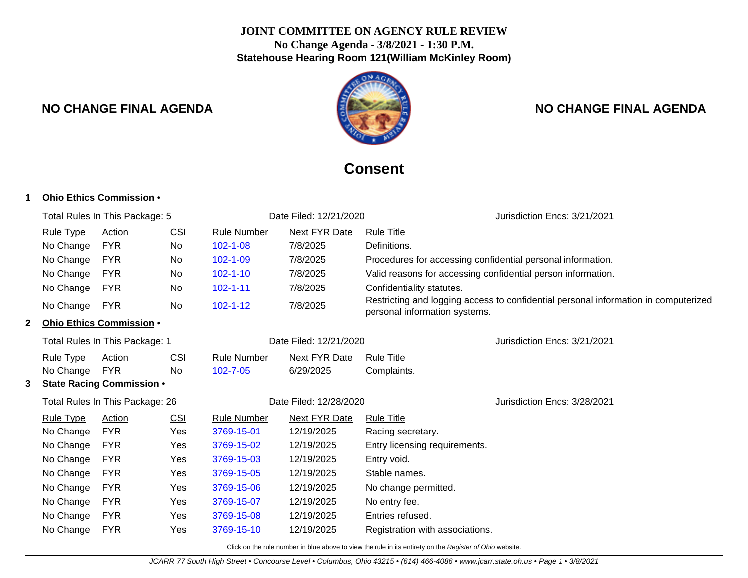### **JOINT COMMITTEE ON AGENCY RULE REVIEW No Change Agenda - 3/8/2021 - 1:30 P.M. Statehouse Hearing Room 121(William McKinley Room)**



# **NO CHANGE FINAL AGENDA NO CHANGE FINAL AGENDA**

# **Consent**

|  | 1 |  |  | Ohio Ethics Commission • |  |
|--|---|--|--|--------------------------|--|
|--|---|--|--|--------------------------|--|

|                                 |                  | Total Rules In This Package: 5   |                        | Date Filed: 12/21/2020 |                              |                                                              | Jurisdiction Ends: 3/21/2021                                                        |
|---------------------------------|------------------|----------------------------------|------------------------|------------------------|------------------------------|--------------------------------------------------------------|-------------------------------------------------------------------------------------|
|                                 | <b>Rule Type</b> | Action                           | <u>CSI</u>             | <b>Rule Number</b>     | <b>Next FYR Date</b>         | <b>Rule Title</b>                                            |                                                                                     |
|                                 | No Change        | <b>FYR</b>                       | No                     | $102 - 1 - 08$         | 7/8/2025                     | Definitions.                                                 |                                                                                     |
|                                 | No Change        | <b>FYR</b>                       | No.                    | $102 - 1 - 09$         | 7/8/2025                     | Procedures for accessing confidential personal information.  |                                                                                     |
|                                 | No Change        | <b>FYR</b>                       | No                     | $102 - 1 - 10$         | 7/8/2025                     | Valid reasons for accessing confidential person information. |                                                                                     |
|                                 | No Change        | <b>FYR</b>                       | No                     | $102 - 1 - 11$         | 7/8/2025                     | Confidentiality statutes.                                    |                                                                                     |
|                                 | No Change        | <b>FYR</b>                       | No                     | $102 - 1 - 12$         | 7/8/2025                     | personal information systems.                                | Restricting and logging access to confidential personal information in computerized |
| 2                               |                  | Ohio Ethics Commission .         |                        |                        |                              |                                                              |                                                                                     |
|                                 |                  | Total Rules In This Package: 1   |                        |                        | Date Filed: 12/21/2020       |                                                              | Jurisdiction Ends: 3/21/2021                                                        |
|                                 | <b>Rule Type</b> | Action                           | <b>CSI</b>             | <b>Rule Number</b>     | <b>Next FYR Date</b>         | <b>Rule Title</b>                                            |                                                                                     |
|                                 | No Change        | <b>FYR</b>                       | <b>No</b>              | 102-7-05               | 6/29/2025                    | Complaints.                                                  |                                                                                     |
| 3                               |                  | <b>State Racing Commission .</b> |                        |                        |                              |                                                              |                                                                                     |
| Total Rules In This Package: 26 |                  |                                  | Date Filed: 12/28/2020 |                        | Jurisdiction Ends: 3/28/2021 |                                                              |                                                                                     |
|                                 | <b>Rule Type</b> | Action                           | CSI                    | <b>Rule Number</b>     | Next FYR Date                | <b>Rule Title</b>                                            |                                                                                     |
|                                 | No Change        | <b>FYR</b>                       | Yes                    | 3769-15-01             | 12/19/2025                   | Racing secretary.                                            |                                                                                     |
|                                 | No Change        | <b>FYR</b>                       | Yes                    | 3769-15-02             | 12/19/2025                   | Entry licensing requirements.                                |                                                                                     |
|                                 | No Change        | <b>FYR</b>                       | Yes                    | 3769-15-03             | 12/19/2025                   | Entry void.                                                  |                                                                                     |
|                                 | No Change        | <b>FYR</b>                       | Yes                    | 3769-15-05             | 12/19/2025                   | Stable names.                                                |                                                                                     |
|                                 | No Change        | <b>FYR</b>                       | Yes                    | 3769-15-06             | 12/19/2025                   | No change permitted.                                         |                                                                                     |
|                                 | No Change        | <b>FYR</b>                       | Yes                    | 3769-15-07             | 12/19/2025                   | No entry fee.                                                |                                                                                     |
|                                 | No Change        | <b>FYR</b>                       | Yes                    | 3769-15-08             | 12/19/2025                   | Entries refused.                                             |                                                                                     |
|                                 | No Change        | <b>FYR</b>                       | Yes                    | 3769-15-10             | 12/19/2025                   | Registration with associations.                              |                                                                                     |

Click on the rule number in blue above to view the rule in its entirety on the Register of Ohio website.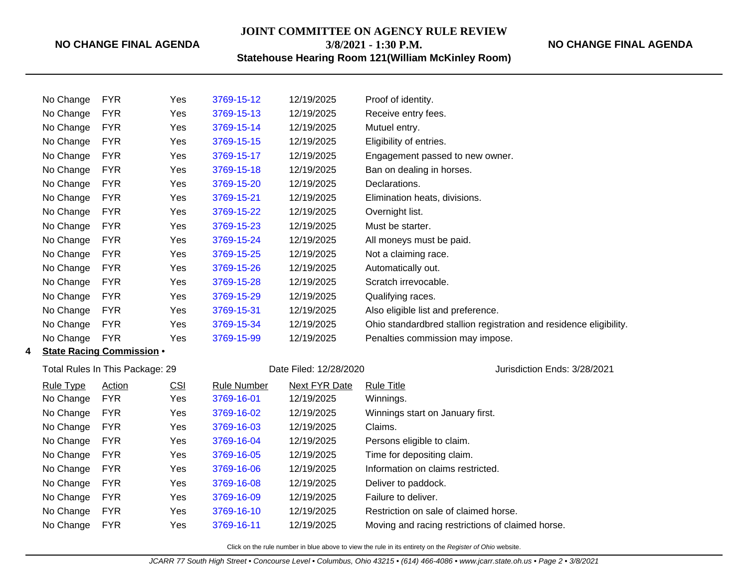### **NO CHANGE FINAL AGENDA**

**JOINT COMMITTEE ON AGENCY RULE REVIEW 3/8/2021 - 1:30 P.M.**

**NO CHANGE FINAL AGENDA**

**Statehouse Hearing Room 121(William McKinley Room)**

|   | No Change                       | <b>FYR</b>                       | Yes        | 3769-15-12             | 12/19/2025                   | Proof of identity.                                                 |
|---|---------------------------------|----------------------------------|------------|------------------------|------------------------------|--------------------------------------------------------------------|
|   | No Change                       | <b>FYR</b>                       | Yes        | 3769-15-13             | 12/19/2025                   | Receive entry fees.                                                |
|   | No Change                       | <b>FYR</b>                       | Yes        | 3769-15-14             | 12/19/2025                   | Mutuel entry.                                                      |
|   | No Change                       | <b>FYR</b>                       | Yes        | 3769-15-15             | 12/19/2025                   | Eligibility of entries.                                            |
|   | No Change                       | <b>FYR</b>                       | Yes        | 3769-15-17             | 12/19/2025                   | Engagement passed to new owner.                                    |
|   | No Change                       | <b>FYR</b>                       | Yes        | 3769-15-18             | 12/19/2025                   | Ban on dealing in horses.                                          |
|   | No Change                       | <b>FYR</b>                       | Yes        | 3769-15-20             | 12/19/2025                   | Declarations.                                                      |
|   | No Change                       | <b>FYR</b>                       | Yes        | 3769-15-21             | 12/19/2025                   | Elimination heats, divisions.                                      |
|   | No Change                       | <b>FYR</b>                       | Yes        | 3769-15-22             | 12/19/2025                   | Overnight list.                                                    |
|   | No Change                       | <b>FYR</b>                       | Yes        | 3769-15-23             | 12/19/2025                   | Must be starter.                                                   |
|   | No Change                       | <b>FYR</b>                       | Yes        | 3769-15-24             | 12/19/2025                   | All moneys must be paid.                                           |
|   | No Change                       | <b>FYR</b>                       | Yes        | 3769-15-25             | 12/19/2025                   | Not a claiming race.                                               |
|   | No Change                       | <b>FYR</b>                       | Yes        | 3769-15-26             | 12/19/2025                   | Automatically out.                                                 |
|   | No Change                       | <b>FYR</b>                       | Yes        | 3769-15-28             | 12/19/2025                   | Scratch irrevocable.                                               |
|   | No Change                       | <b>FYR</b>                       | Yes        | 3769-15-29             | 12/19/2025                   | Qualifying races.                                                  |
|   | No Change                       | <b>FYR</b>                       | Yes        | 3769-15-31             | 12/19/2025                   | Also eligible list and preference.                                 |
|   | No Change                       | <b>FYR</b>                       | Yes        | 3769-15-34             | 12/19/2025                   | Ohio standardbred stallion registration and residence eligibility. |
|   | No Change                       | <b>FYR</b>                       | Yes        | 3769-15-99             | 12/19/2025                   | Penalties commission may impose.                                   |
| 4 |                                 | <b>State Racing Commission .</b> |            |                        |                              |                                                                    |
|   | Total Rules In This Package: 29 |                                  |            | Date Filed: 12/28/2020 | Jurisdiction Ends: 3/28/2021 |                                                                    |
|   | Rule Type                       | Action                           | <b>CSI</b> | <b>Rule Number</b>     | Next FYR Date                | <b>Rule Title</b>                                                  |
|   | No Change                       | <b>FYR</b>                       | Yes        | 3769-16-01             | 12/19/2025                   | Winnings.                                                          |
|   | No Change                       | <b>FYR</b>                       | Yes        | 3769-16-02             | 12/19/2025                   | Winnings start on January first.                                   |
|   | No Change                       | <b>FYR</b>                       | Yes        | 3769-16-03             | 12/19/2025                   | Claims.                                                            |
|   | No Change                       | <b>FYR</b>                       | Yes        | 3769-16-04             | 12/19/2025                   | Persons eligible to claim.                                         |
|   | No Change                       | <b>FYR</b>                       | Yes        | 3769-16-05             | 12/19/2025                   | Time for depositing claim.                                         |
|   | No Change                       | <b>FYR</b>                       | Yes        | 3769-16-06             | 12/19/2025                   | Information on claims restricted.                                  |
|   | No Change                       | <b>FYR</b>                       | Yes        | 3769-16-08             | 12/19/2025                   | Deliver to paddock.                                                |
|   | No Change                       | <b>FYR</b>                       | Yes        | 3769-16-09             | 12/19/2025                   | Failure to deliver.                                                |
|   | No Change                       | <b>FYR</b>                       | Yes        | 3769-16-10             | 12/19/2025                   | Restriction on sale of claimed horse.                              |
|   | No Change                       | <b>FYR</b>                       | Yes        | 3769-16-11             | 12/19/2025                   | Moving and racing restrictions of claimed horse.                   |
|   |                                 |                                  |            |                        |                              |                                                                    |

Click on the rule number in blue above to view the rule in its entirety on the Register of Ohio website.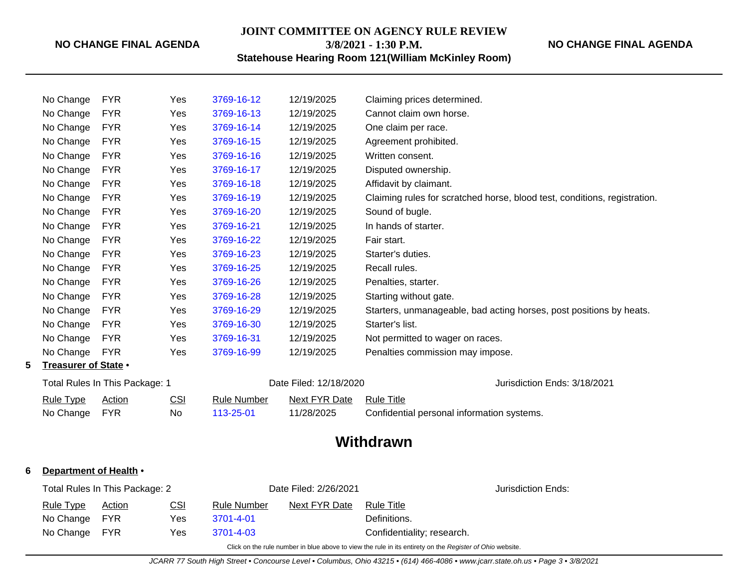### **NO CHANGE FINAL AGENDA**

**JOINT COMMITTEE ON AGENCY RULE REVIEW**

**3/8/2021 - 1:30 P.M.**

# **Statehouse Hearing Room 121(William McKinley Room)**

|                                | No Change            | <b>FYR</b> | Yes                    | 3769-16-12                   | 12/19/2025           | Claiming prices determined.                                               |
|--------------------------------|----------------------|------------|------------------------|------------------------------|----------------------|---------------------------------------------------------------------------|
|                                | No Change            | <b>FYR</b> | Yes                    | 3769-16-13                   | 12/19/2025           | Cannot claim own horse.                                                   |
|                                | No Change            | <b>FYR</b> | Yes                    | 3769-16-14                   | 12/19/2025           | One claim per race.                                                       |
|                                | No Change            | <b>FYR</b> | Yes                    | 3769-16-15                   | 12/19/2025           | Agreement prohibited.                                                     |
|                                | No Change            | <b>FYR</b> | Yes                    | 3769-16-16                   | 12/19/2025           | Written consent.                                                          |
|                                | No Change            | <b>FYR</b> | Yes                    | 3769-16-17                   | 12/19/2025           | Disputed ownership.                                                       |
|                                | No Change            | <b>FYR</b> | Yes                    | 3769-16-18                   | 12/19/2025           | Affidavit by claimant.                                                    |
|                                | No Change            | <b>FYR</b> | Yes                    | 3769-16-19                   | 12/19/2025           | Claiming rules for scratched horse, blood test, conditions, registration. |
|                                | No Change            | <b>FYR</b> | Yes                    | 3769-16-20                   | 12/19/2025           | Sound of bugle.                                                           |
|                                | No Change            | <b>FYR</b> | Yes                    | 3769-16-21                   | 12/19/2025           | In hands of starter.                                                      |
|                                | No Change            | <b>FYR</b> | Yes                    | 3769-16-22                   | 12/19/2025           | Fair start.                                                               |
|                                | No Change            | <b>FYR</b> | Yes                    | 3769-16-23                   | 12/19/2025           | Starter's duties.                                                         |
|                                | No Change            | <b>FYR</b> | Yes                    | 3769-16-25                   | 12/19/2025           | Recall rules.                                                             |
|                                | No Change            | <b>FYR</b> | Yes                    | 3769-16-26                   | 12/19/2025           | Penalties, starter.                                                       |
|                                | No Change            | <b>FYR</b> | Yes                    | 3769-16-28                   | 12/19/2025           | Starting without gate.                                                    |
|                                | No Change            | <b>FYR</b> | Yes                    | 3769-16-29                   | 12/19/2025           | Starters, unmanageable, bad acting horses, post positions by heats.       |
|                                | No Change            | <b>FYR</b> | Yes                    | 3769-16-30                   | 12/19/2025           | Starter's list.                                                           |
|                                | No Change            | <b>FYR</b> | Yes                    | 3769-16-31                   | 12/19/2025           | Not permitted to wager on races.                                          |
|                                | No Change            | <b>FYR</b> | Yes                    | 3769-16-99                   | 12/19/2025           | Penalties commission may impose.                                          |
| 5                              | Treasurer of State • |            |                        |                              |                      |                                                                           |
| Total Rules In This Package: 1 |                      |            | Date Filed: 12/18/2020 | Jurisdiction Ends: 3/18/2021 |                      |                                                                           |
|                                | <b>Rule Type</b>     | Action     | CSI                    | <b>Rule Number</b>           | <b>Next FYR Date</b> | <b>Rule Title</b>                                                         |
|                                | No Change            | <b>FYR</b> | No                     | 113-25-01                    | 11/28/2025           | Confidential personal information systems.                                |
|                                |                      |            |                        |                              |                      |                                                                           |

# **Withdrawn**

### **6 Department of Health** •

| Total Rules In This Package: 2 |               |            |                    | Date Filed: 2/26/2021 |                            |  |
|--------------------------------|---------------|------------|--------------------|-----------------------|----------------------------|--|
| <b>Rule Type</b>               | <u>Action</u> | <u>CSI</u> | <b>Rule Number</b> | Next FYR Date         | <b>Rule Title</b>          |  |
| No Change FYR                  |               | Yes.       | 3701-4-01          |                       | Definitions.               |  |
| No Change FYR                  |               | Yes.       | 3701-4-03          |                       | Confidentiality; research. |  |

Click on the rule number in blue above to view the rule in its entirety on the Register of Ohio website.

**NO CHANGE FINAL AGENDA**